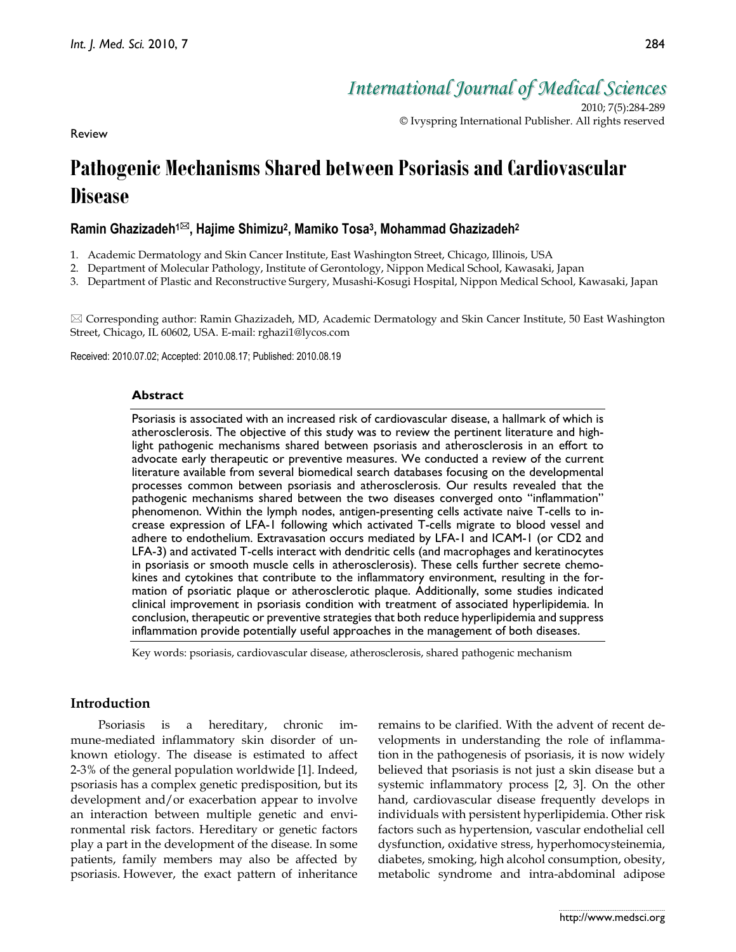*International Journal of Medical Sciences*

2010; 7(5):284-289 © Ivyspring International Publisher. All rights reserved

Review

# **Pathogenic Mechanisms Shared between Psoriasis and Cardiovascular Disease**

# **Ramin Ghazizadeh1 , Hajime Shimizu2, Mamiko Tosa3, Mohammad Ghazizadeh2**

- 1. Academic Dermatology and Skin Cancer Institute, East Washington Street, Chicago, Illinois, USA
- 2. Department of Molecular Pathology, Institute of Gerontology, Nippon Medical School, Kawasaki, Japan
- 3. Department of Plastic and Reconstructive Surgery, Musashi-Kosugi Hospital, Nippon Medical School, Kawasaki, Japan

 Corresponding author: Ramin Ghazizadeh, MD, Academic Dermatology and Skin Cancer Institute, 50 East Washington Street, Chicago, IL 60602, USA. E-mail: rghazi1@lycos.com

Received: 2010.07.02; Accepted: 2010.08.17; Published: 2010.08.19

## **Abstract**

Psoriasis is associated with an increased risk of cardiovascular disease, a hallmark of which is atherosclerosis. The objective of this study was to review the pertinent literature and highlight pathogenic mechanisms shared between psoriasis and atherosclerosis in an effort to advocate early therapeutic or preventive measures. We conducted a review of the current literature available from several biomedical search databases focusing on the developmental processes common between psoriasis and atherosclerosis. Our results revealed that the pathogenic mechanisms shared between the two diseases converged onto "inflammation" phenomenon. Within the lymph nodes, antigen-presenting cells activate naive T-cells to increase expression of LFA-1 following which activated T-cells migrate to blood vessel and adhere to endothelium. Extravasation occurs mediated by LFA-1 and ICAM-1 (or CD2 and LFA-3) and activated T-cells interact with dendritic cells (and macrophages and keratinocytes in psoriasis or smooth muscle cells in atherosclerosis). These cells further secrete chemokines and cytokines that contribute to the inflammatory environment, resulting in the formation of psoriatic plaque or atherosclerotic plaque. Additionally, some studies indicated clinical improvement in psoriasis condition with treatment of associated hyperlipidemia. In conclusion, therapeutic or preventive strategies that both reduce hyperlipidemia and suppress inflammation provide potentially useful approaches in the management of both diseases.

Key words: psoriasis, cardiovascular disease, atherosclerosis, shared pathogenic mechanism

## **Introduction**

Psoriasis is a hereditary, chronic immune-mediated inflammatory skin disorder of unknown etiology. The disease is estimated to affect 2-3% of the general population worldwide [1]. Indeed, psoriasis has a complex genetic predisposition, but its development and/or exacerbation appear to involve an interaction between multiple genetic and environmental risk factors. Hereditary or genetic factors play a part in the development of the disease. In some patients, family members may also be affected by psoriasis. However, the exact pattern of inheritance

remains to be clarified. With the advent of recent developments in understanding the role of inflammation in the pathogenesis of psoriasis, it is now widely believed that psoriasis is not just a skin disease but a systemic inflammatory process [2, 3]. On the other hand, cardiovascular disease frequently develops in individuals with persistent hyperlipidemia. Other risk factors such as hypertension, vascular endothelial cell dysfunction, oxidative stress, hyperhomocysteinemia, diabetes, smoking, high alcohol consumption, obesity, metabolic syndrome and intra-abdominal adipose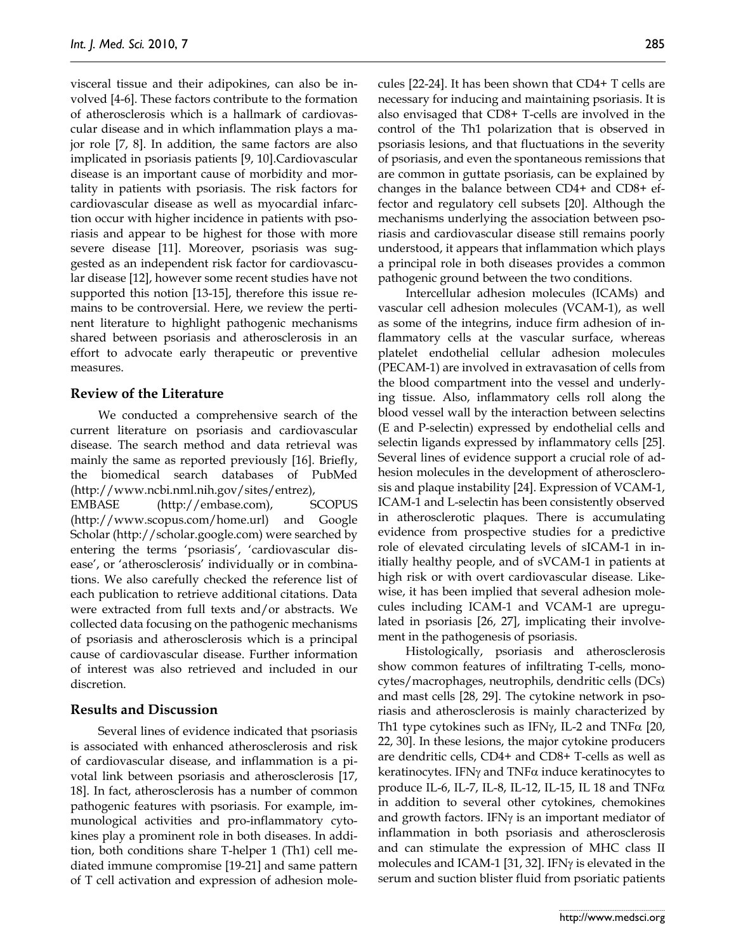visceral tissue and their adipokines, can also be involved [4-6]. These factors contribute to the formation of atherosclerosis which is a hallmark of cardiovascular disease and in which inflammation plays a major role [7, 8]. In addition, the same factors are also implicated in psoriasis patients [9, 10].Cardiovascular disease is an important cause of morbidity and mortality in patients with psoriasis. The risk factors for cardiovascular disease as well as myocardial infarction occur with higher incidence in patients with psoriasis and appear to be highest for those with more severe disease [11]. Moreover, psoriasis was suggested as an independent risk factor for cardiovascular disease [12], however some recent studies have not supported this notion [13-15], therefore this issue remains to be controversial. Here, we review the pertinent literature to highlight pathogenic mechanisms shared between psoriasis and atherosclerosis in an effort to advocate early therapeutic or preventive measures.

## **Review of the Literature**

We conducted a comprehensive search of the current literature on psoriasis and cardiovascular disease. The search method and data retrieval was mainly the same as reported previously [16]. Briefly, the biomedical search databases of PubMed (http://www.ncbi.nml.nih.gov/sites/entrez), EMBASE (http://embase.com), SCOPUS (http://www.scopus.com/home.url) and Google Scholar (http://scholar.google.com) were searched by entering the terms 'psoriasis', 'cardiovascular disease', or 'atherosclerosis' individually or in combinations. We also carefully checked the reference list of each publication to retrieve additional citations. Data were extracted from full texts and/or abstracts. We collected data focusing on the pathogenic mechanisms of psoriasis and atherosclerosis which is a principal cause of cardiovascular disease. Further information of interest was also retrieved and included in our discretion.

#### **Results and Discussion**

Several lines of evidence indicated that psoriasis is associated with enhanced atherosclerosis and risk of cardiovascular disease, and inflammation is a pivotal link between psoriasis and atherosclerosis [17, 18]. In fact, atherosclerosis has a number of common pathogenic features with psoriasis. For example, immunological activities and pro-inflammatory cytokines play a prominent role in both diseases. In addition, both conditions share T-helper 1 (Th1) cell mediated immune compromise [19-21] and same pattern of T cell activation and expression of adhesion molecules [22-24]. It has been shown that CD4+ T cells are necessary for inducing and maintaining psoriasis. It is also envisaged that CD8+ T-cells are involved in the control of the Th1 polarization that is observed in psoriasis lesions, and that fluctuations in the severity of psoriasis, and even the spontaneous remissions that are common in guttate psoriasis, can be explained by changes in the balance between CD4+ and CD8+ effector and regulatory cell subsets [20]. Although the mechanisms underlying the association between psoriasis and cardiovascular disease still remains poorly understood, it appears that inflammation which plays a principal role in both diseases provides a common pathogenic ground between the two conditions.

Intercellular adhesion molecules (ICAMs) and vascular cell adhesion molecules (VCAM-1), as well as some of the integrins, induce firm adhesion of inflammatory cells at the vascular surface, whereas platelet endothelial cellular adhesion molecules (PECAM-1) are involved in extravasation of cells from the blood compartment into the vessel and underlying tissue. Also, inflammatory cells roll along the blood vessel wall by the interaction between selectins (E and P-selectin) expressed by endothelial cells and selectin ligands expressed by inflammatory cells [25]. Several lines of evidence support a crucial role of adhesion molecules in the development of atherosclerosis and plaque instability [24]. Expression of VCAM-1, ICAM-1 and L-selectin has been consistently observed in atherosclerotic plaques. There is accumulating evidence from prospective studies for a predictive role of elevated circulating levels of sICAM-1 in initially healthy people, and of sVCAM-1 in patients at high risk or with overt cardiovascular disease. Likewise, it has been implied that several adhesion molecules including ICAM-1 and VCAM-1 are upregulated in psoriasis [26, 27], implicating their involvement in the pathogenesis of psoriasis.

Histologically, psoriasis and atherosclerosis show common features of infiltrating T-cells, monocytes/macrophages, neutrophils, dendritic cells (DCs) and mast cells [28, 29]. The cytokine network in psoriasis and atherosclerosis is mainly characterized by Th1 type cytokines such as IFN $\gamma$ , IL-2 and TNF $\alpha$  [20, 22, 30]. In these lesions, the major cytokine producers are dendritic cells, CD4+ and CD8+ T-cells as well as keratinocytes. IFN $\gamma$  and TNF $\alpha$  induce keratinocytes to produce IL-6, IL-7, IL-8, IL-12, IL-15, IL 18 and TNF $\alpha$ in addition to several other cytokines, chemokines and growth factors. IFNγ is an important mediator of inflammation in both psoriasis and atherosclerosis and can stimulate the expression of MHC class II molecules and ICAM-1 [31, 32]. IFNγ is elevated in the serum and suction blister fluid from psoriatic patients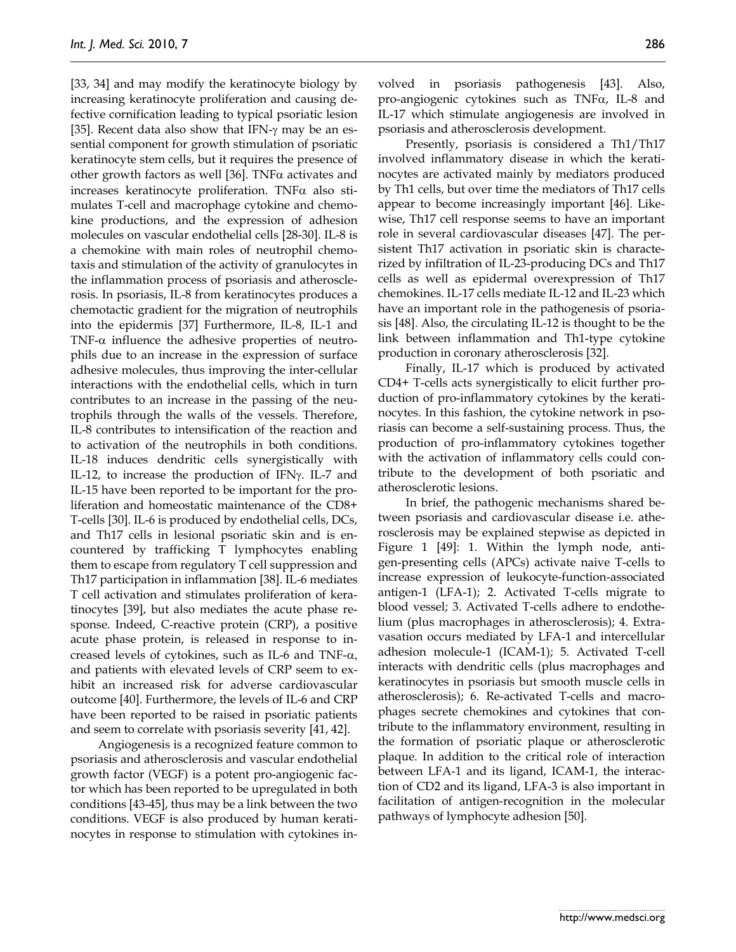[33, 34] and may modify the keratinocyte biology by increasing keratinocyte proliferation and causing defective cornification leading to typical psoriatic lesion [35]. Recent data also show that IFN- $\gamma$  may be an essential component for growth stimulation of psoriatic keratinocyte stem cells, but it requires the presence of other growth factors as well [36]. TNF $\alpha$  activates and increases keratinocyte proliferation. TNF $\alpha$  also stimulates T-cell and macrophage cytokine and chemokine productions, and the expression of adhesion molecules on vascular endothelial cells [28-30]. IL-8 is a chemokine with main roles of neutrophil chemotaxis and stimulation of the activity of granulocytes in the inflammation process of psoriasis and atherosclerosis. In psoriasis, IL-8 from keratinocytes produces a chemotactic gradient for the migration of neutrophils into the epidermis [37] Furthermore, IL-8, IL-1 and TNF- $\alpha$  influence the adhesive properties of neutrophils due to an increase in the expression of surface adhesive molecules, thus improving the inter-cellular interactions with the endothelial cells, which in turn contributes to an increase in the passing of the neutrophils through the walls of the vessels. Therefore, IL-8 contributes to intensification of the reaction and to activation of the neutrophils in both conditions. IL-18 induces dendritic cells synergistically with IL-12, to increase the production of IFNγ. IL-7 and IL-15 have been reported to be important for the proliferation and homeostatic maintenance of the CD8+ T-cells [30]. IL-6 is produced by endothelial cells, DCs, and Th17 cells in lesional psoriatic skin and is encountered by trafficking T lymphocytes enabling them to escape from regulatory T cell suppression and Th17 participation in inflammation [38]. IL-6 mediates T cell activation and stimulates proliferation of keratinocytes [39], but also mediates the acute phase response. Indeed, C-reactive protein (CRP), a positive acute phase protein, is released in response to increased levels of cytokines, such as IL-6 and TNF- $\alpha$ , and patients with elevated levels of CRP seem to exhibit an increased risk for adverse cardiovascular outcome [40]. Furthermore, the levels of IL-6 and CRP have been reported to be raised in psoriatic patients and seem to correlate with psoriasis severity [41, 42].

Angiogenesis is a recognized feature common to psoriasis and atherosclerosis and vascular endothelial growth factor (VEGF) is a potent pro-angiogenic factor which has been reported to be upregulated in both conditions [43-45], thus may be a link between the two conditions. VEGF is also produced by human keratinocytes in response to stimulation with cytokines involved in psoriasis pathogenesis [43]. Also, pro-angiogenic cytokines such as TNFα, IL-8 and IL-17 which stimulate angiogenesis are involved in psoriasis and atherosclerosis development.

Presently, psoriasis is considered a Th1/Th17 involved inflammatory disease in which the keratinocytes are activated mainly by mediators produced by Th1 cells, but over time the mediators of Th17 cells appear to become increasingly important [46]. Likewise, Th17 cell response seems to have an important role in several cardiovascular diseases [47]. The persistent Th17 activation in psoriatic skin is characterized by infiltration of IL-23-producing DCs and Th17 cells as well as epidermal overexpression of Th17 chemokines. IL-17 cells mediate IL-12 and IL-23 which have an important role in the pathogenesis of psoriasis [48]. Also, the circulating IL-12 is thought to be the link between inflammation and Th1-type cytokine production in coronary atherosclerosis [32].

Finally, IL-17 which is produced by activated CD4+ T-cells acts synergistically to elicit further production of pro-inflammatory cytokines by the keratinocytes. In this fashion, the cytokine network in psoriasis can become a self-sustaining process. Thus, the production of pro-inflammatory cytokines together with the activation of inflammatory cells could contribute to the development of both psoriatic and atherosclerotic lesions.

In brief, the pathogenic mechanisms shared between psoriasis and cardiovascular disease i.e. atherosclerosis may be explained stepwise as depicted in Figure 1 [49]: 1. Within the lymph node, antigen-presenting cells (APCs) activate naive T-cells to increase expression of leukocyte-function-associated antigen-1 (LFA-1); 2. Activated T-cells migrate to blood vessel; 3. Activated T-cells adhere to endothelium (plus macrophages in atherosclerosis); 4. Extravasation occurs mediated by LFA-1 and intercellular adhesion molecule-1 (ICAM-1); 5. Activated T-cell interacts with dendritic cells (plus macrophages and keratinocytes in psoriasis but smooth muscle cells in atherosclerosis); 6. Re-activated T-cells and macrophages secrete chemokines and cytokines that contribute to the inflammatory environment, resulting in the formation of psoriatic plaque or atherosclerotic plaque. In addition to the critical role of interaction between LFA-1 and its ligand, ICAM-1, the interaction of CD2 and its ligand, LFA-3 is also important in facilitation of antigen-recognition in the molecular pathways of lymphocyte adhesion [50].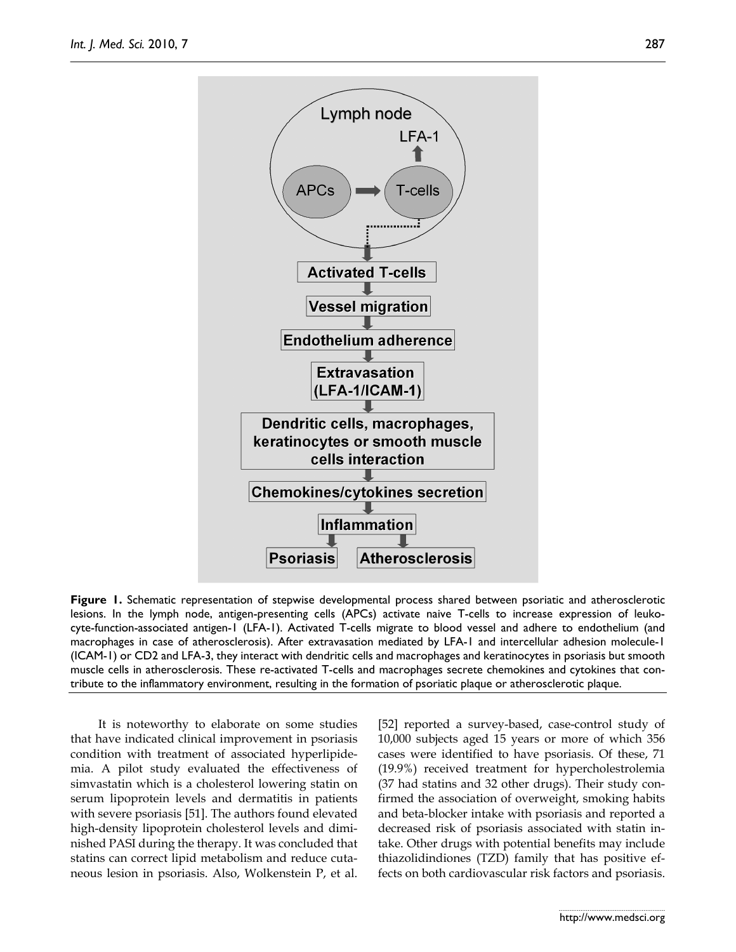

**Figure 1.** Schematic representation of stepwise developmental process shared between psoriatic and atherosclerotic lesions. In the lymph node, antigen-presenting cells (APCs) activate naive T-cells to increase expression of leukocyte-function-associated antigen-1 (LFA-1). Activated T-cells migrate to blood vessel and adhere to endothelium (and macrophages in case of atherosclerosis). After extravasation mediated by LFA-1 and intercellular adhesion molecule-1 (ICAM-1) or CD2 and LFA-3, they interact with dendritic cells and macrophages and keratinocytes in psoriasis but smooth muscle cells in atherosclerosis. These re-activated T-cells and macrophages secrete chemokines and cytokines that contribute to the inflammatory environment, resulting in the formation of psoriatic plaque or atherosclerotic plaque.

It is noteworthy to elaborate on some studies that have indicated clinical improvement in psoriasis condition with treatment of associated hyperlipidemia. A pilot study evaluated the effectiveness of simvastatin which is a cholesterol lowering statin on serum lipoprotein levels and dermatitis in patients with severe psoriasis [51]. The authors found elevated high-density lipoprotein cholesterol levels and diminished PASI during the therapy. It was concluded that statins can correct lipid metabolism and reduce cutaneous lesion in psoriasis. Also, Wolkenstein P, et al.

[52] reported a survey-based, case-control study of 10,000 subjects aged 15 years or more of which 356 cases were identified to have psoriasis. Of these, 71 (19.9%) received treatment for hypercholestrolemia (37 had statins and 32 other drugs). Their study confirmed the association of overweight, smoking habits and beta-blocker intake with psoriasis and reported a decreased risk of psoriasis associated with statin intake. Other drugs with potential benefits may include thiazolidindiones (TZD) family that has positive effects on both cardiovascular risk factors and psoriasis.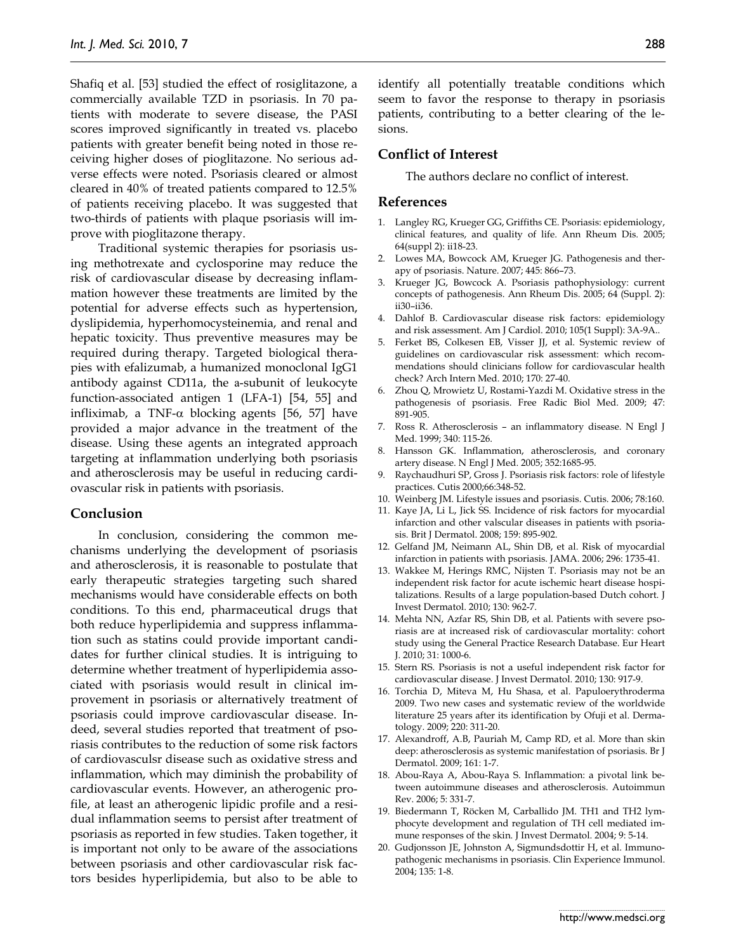Shafiq et al. [53] studied the effect of rosiglitazone, a commercially available TZD in psoriasis. In 70 patients with moderate to severe disease, the PASI scores improved significantly in treated vs. placebo patients with greater benefit being noted in those receiving higher doses of pioglitazone. No serious adverse effects were noted. Psoriasis cleared or almost cleared in 40% of treated patients compared to 12.5% of patients receiving placebo. It was suggested that two-thirds of patients with plaque psoriasis will improve with pioglitazone therapy.

Traditional systemic therapies for psoriasis using methotrexate and cyclosporine may reduce the risk of cardiovascular disease by decreasing inflammation however these treatments are limited by the potential for adverse effects such as hypertension, dyslipidemia, hyperhomocysteinemia, and renal and hepatic toxicity. Thus preventive measures may be required during therapy. Targeted biological therapies with efalizumab, a humanized monoclonal IgG1 antibody against CD11a, the a-subunit of leukocyte function-associated antigen 1 (LFA-1) [54, 55] and infliximab, a TNF- $\alpha$  blocking agents [56, 57] have provided a major advance in the treatment of the disease. Using these agents an integrated approach targeting at inflammation underlying both psoriasis and atherosclerosis may be useful in reducing cardiovascular risk in patients with psoriasis.

## **Conclusion**

In conclusion, considering the common mechanisms underlying the development of psoriasis and atherosclerosis, it is reasonable to postulate that early therapeutic strategies targeting such shared mechanisms would have considerable effects on both conditions. To this end, pharmaceutical drugs that both reduce hyperlipidemia and suppress inflammation such as statins could provide important candidates for further clinical studies. It is intriguing to determine whether treatment of hyperlipidemia associated with psoriasis would result in clinical improvement in psoriasis or alternatively treatment of psoriasis could improve cardiovascular disease. Indeed, several studies reported that treatment of psoriasis contributes to the reduction of some risk factors of cardiovasculsr disease such as oxidative stress and inflammation, which may diminish the probability of cardiovascular events. However, an atherogenic profile, at least an atherogenic lipidic profile and a residual inflammation seems to persist after treatment of psoriasis as reported in few studies. Taken together, it is important not only to be aware of the associations between psoriasis and other cardiovascular risk factors besides hyperlipidemia, but also to be able to

identify all potentially treatable conditions which seem to favor the response to therapy in psoriasis patients, contributing to a better clearing of the lesions.

#### **Conflict of Interest**

The authors declare no conflict of interest.

#### **References**

- 1. Langley RG, Krueger GG, Griffiths CE. Psoriasis: epidemiology, clinical features, and quality of life. Ann Rheum Dis. 2005; 64(suppl 2): ii18-23.
- 2. Lowes MA, Bowcock AM, Krueger JG. Pathogenesis and therapy of psoriasis. Nature. 2007; 445: 866–73.
- 3. Krueger JG, Bowcock A. Psoriasis pathophysiology: current concepts of pathogenesis. Ann Rheum Dis. 2005; 64 (Suppl. 2): ii30–ii36.
- 4. Dahlof B. Cardiovascular disease risk factors: epidemiology and risk assessment. Am J Cardiol. 2010; 105(1 Suppl): 3A-9A..
- 5. Ferket BS, Colkesen EB, Visser JJ, et al. Systemic review of guidelines on cardiovascular risk assessment: which recommendations should clinicians follow for cardiovascular health check? Arch Intern Med. 2010; 170: 27-40.
- 6. Zhou Q, Mrowietz U, Rostami-Yazdi M. Oxidative stress in the pathogenesis of psoriasis. Free Radic Biol Med. 2009; 47: 891-905.
- 7. Ross R. Atherosclerosis an inflammatory disease. N Engl J Med. 1999; 340: 115-26.
- 8. Hansson GK. Inflammation, atherosclerosis, and coronary artery disease. N Engl J Med. 2005; 352:1685-95.
- 9. Raychaudhuri SP, Gross J. Psoriasis risk factors: role of lifestyle practices. Cutis 2000;66:348-52.
- 10. Weinberg JM. Lifestyle issues and psoriasis. Cutis. 2006; 78:160.
- 11. Kaye JA, Li L, Jick SS. Incidence of risk factors for myocardial infarction and other valscular diseases in patients with psoriasis. Brit J Dermatol. 2008; 159: 895-902.
- 12. Gelfand JM, Neimann AL, Shin DB, et al. Risk of myocardial infarction in patients with psoriasis. JAMA. 2006; 296: 1735-41.
- 13. Wakkee M, Herings RMC, Nijsten T. Psoriasis may not be an independent risk factor for acute ischemic heart disease hospitalizations. Results of a large population-based Dutch cohort. J Invest Dermatol. 2010; 130: 962-7.
- 14. Mehta NN, Azfar RS, Shin DB, et al. Patients with severe psoriasis are at increased risk of cardiovascular mortality: cohort study using the General Practice Research Database. Eur Heart J. 2010; 31: 1000-6.
- 15. Stern RS. Psoriasis is not a useful independent risk factor for cardiovascular disease. J Invest Dermatol. 2010; 130: 917-9.
- 16. Torchia D, Miteva M, Hu Shasa, et al. Papuloerythroderma 2009. Two new cases and systematic review of the worldwide literature 25 years after its identification by Ofuji et al. Dermatology. 2009; 220: 311-20.
- 17. Alexandroff, A.B, Pauriah M, Camp RD, et al. More than skin deep: atherosclerosis as systemic manifestation of psoriasis. Br J Dermatol. 2009; 161: 1-7.
- 18. Abou-Raya A, Abou-Raya S. Inflammation: a pivotal link between autoimmune diseases and atherosclerosis. Autoimmun Rev. 2006; 5: 331-7.
- 19. Biedermann T, Röcken M, Carballido JM. TH1 and TH2 lymphocyte development and regulation of TH cell mediated immune responses of the skin. J Invest Dermatol. 2004; 9: 5-14.
- 20. Gudjonsson JE, Johnston A, Sigmundsdottir H, et al. Immunopathogenic mechanisms in psoriasis. Clin Experience Immunol. 2004; 135: 1-8.